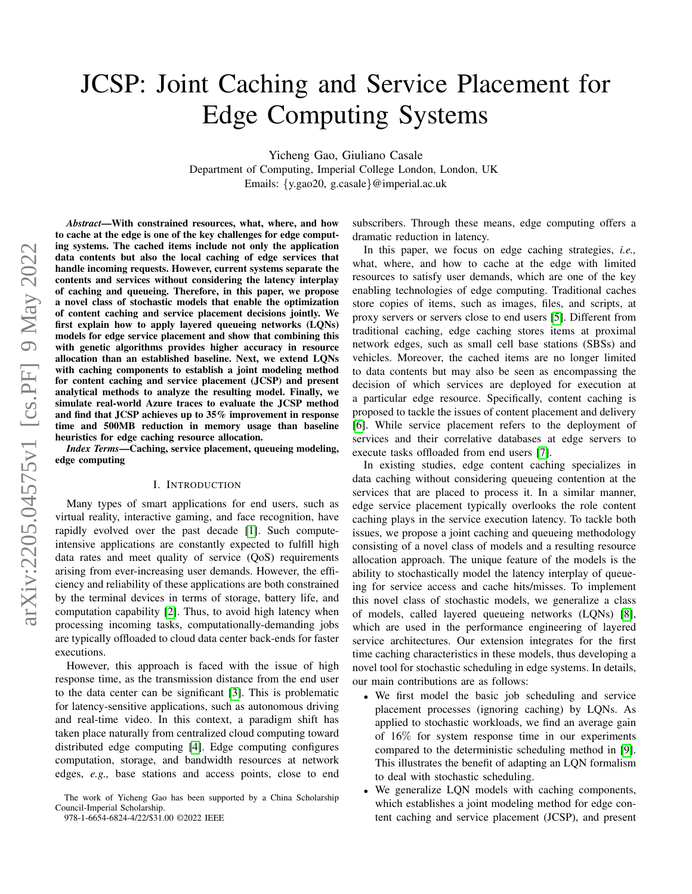# JCSP: Joint Caching and Service Placement for Edge Computing Systems

Yicheng Gao, Giuliano Casale

Department of Computing, Imperial College London, London, UK Emails: {y.gao20, g.casale}@imperial.ac.uk

*Abstract*—With constrained resources, what, where, and how to cache at the edge is one of the key challenges for edge computing systems. The cached items include not only the application data contents but also the local caching of edge services that handle incoming requests. However, current systems separate the contents and services without considering the latency interplay of caching and queueing. Therefore, in this paper, we propose a novel class of stochastic models that enable the optimization of content caching and service placement decisions jointly. We first explain how to apply layered queueing networks (LQNs) models for edge service placement and show that combining this with genetic algorithms provides higher accuracy in resource allocation than an established baseline. Next, we extend LQNs with caching components to establish a joint modeling method for content caching and service placement (JCSP) and present analytical methods to analyze the resulting model. Finally, we simulate real-world Azure traces to evaluate the JCSP method and find that JCSP achieves up to 35% improvement in response time and 500MB reduction in memory usage than baseline heuristics for edge caching resource allocation.

*Index Terms*—Caching, service placement, queueing modeling, edge computing

#### I. INTRODUCTION

Many types of smart applications for end users, such as virtual reality, interactive gaming, and face recognition, have rapidly evolved over the past decade [\[1\]](#page-9-0). Such computeintensive applications are constantly expected to fulfill high data rates and meet quality of service (QoS) requirements arising from ever-increasing user demands. However, the efficiency and reliability of these applications are both constrained by the terminal devices in terms of storage, battery life, and computation capability [\[2\]](#page-9-1). Thus, to avoid high latency when processing incoming tasks, computationally-demanding jobs are typically offloaded to cloud data center back-ends for faster executions.

However, this approach is faced with the issue of high response time, as the transmission distance from the end user to the data center can be significant [\[3\]](#page-9-2). This is problematic for latency-sensitive applications, such as autonomous driving and real-time video. In this context, a paradigm shift has taken place naturally from centralized cloud computing toward distributed edge computing [\[4\]](#page-9-3). Edge computing configures computation, storage, and bandwidth resources at network edges, *e.g.,* base stations and access points, close to end

978-1-6654-6824-4/22/\$31.00 ©2022 IEEE

subscribers. Through these means, edge computing offers a dramatic reduction in latency.

In this paper, we focus on edge caching strategies, *i.e.,* what, where, and how to cache at the edge with limited resources to satisfy user demands, which are one of the key enabling technologies of edge computing. Traditional caches store copies of items, such as images, files, and scripts, at proxy servers or servers close to end users [\[5\]](#page-9-4). Different from traditional caching, edge caching stores items at proximal network edges, such as small cell base stations (SBSs) and vehicles. Moreover, the cached items are no longer limited to data contents but may also be seen as encompassing the decision of which services are deployed for execution at a particular edge resource. Specifically, content caching is proposed to tackle the issues of content placement and delivery [\[6\]](#page-9-5). While service placement refers to the deployment of services and their correlative databases at edge servers to execute tasks offloaded from end users [\[7\]](#page-9-6).

In existing studies, edge content caching specializes in data caching without considering queueing contention at the services that are placed to process it. In a similar manner, edge service placement typically overlooks the role content caching plays in the service execution latency. To tackle both issues, we propose a joint caching and queueing methodology consisting of a novel class of models and a resulting resource allocation approach. The unique feature of the models is the ability to stochastically model the latency interplay of queueing for service access and cache hits/misses. To implement this novel class of stochastic models, we generalize a class of models, called layered queueing networks (LQNs) [\[8\]](#page-9-7), which are used in the performance engineering of layered service architectures. Our extension integrates for the first time caching characteristics in these models, thus developing a novel tool for stochastic scheduling in edge systems. In details, our main contributions are as follows:

- We first model the basic job scheduling and service placement processes (ignoring caching) by LQNs. As applied to stochastic workloads, we find an average gain of 16% for system response time in our experiments compared to the deterministic scheduling method in [\[9\]](#page-9-8). This illustrates the benefit of adapting an LQN formalism to deal with stochastic scheduling.
- We generalize LQN models with caching components, which establishes a joint modeling method for edge content caching and service placement (JCSP), and present

The work of Yicheng Gao has been supported by a China Scholarship Council-Imperial Scholarship.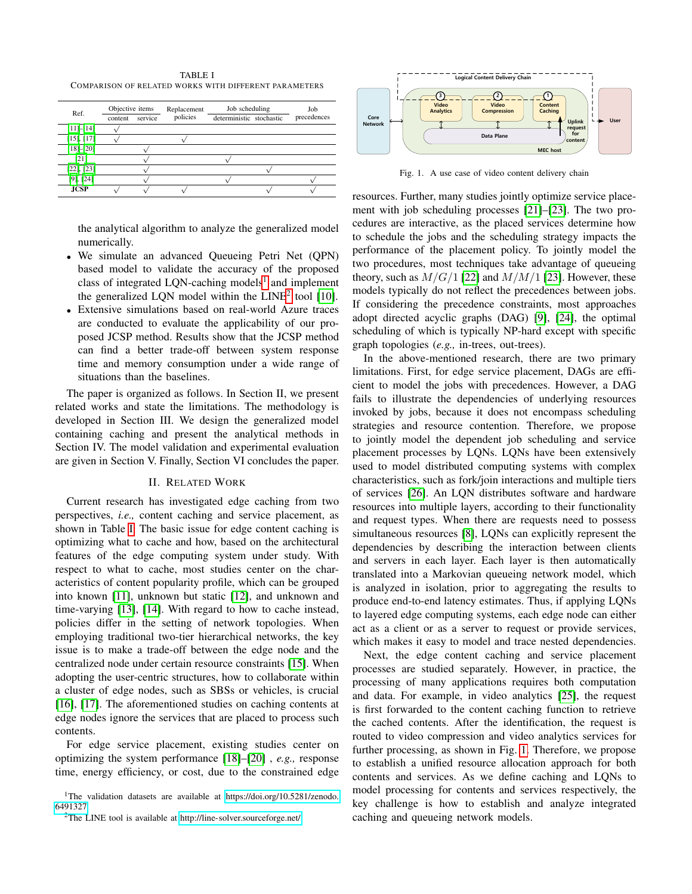<span id="page-1-2"></span>TABLE I COMPARISON OF RELATED WORKS WITH DIFFERENT PARAMETERS

| Ref.            | Objective items<br>service<br>content |  | Replacement<br>policies | Job scheduling<br>deterministic stochastic |  | Job<br>precedences |
|-----------------|---------------------------------------|--|-------------------------|--------------------------------------------|--|--------------------|
| $[11]-[14]$     |                                       |  |                         |                                            |  |                    |
| $[15]$ , $[17]$ |                                       |  |                         |                                            |  |                    |
| $[18]-[20]$     |                                       |  |                         |                                            |  |                    |
| [21]            |                                       |  |                         |                                            |  |                    |
| $[22]$ , $[23]$ |                                       |  |                         |                                            |  |                    |
| $[9]$ , $[24]$  |                                       |  |                         |                                            |  |                    |
| <b>JCSP</b>     |                                       |  |                         |                                            |  |                    |

the analytical algorithm to analyze the generalized model numerically.

- We simulate an advanced Queueing Petri Net (QPN) based model to validate the accuracy of the proposed class of integrated LQN-caching models<sup>[1](#page-1-0)</sup> and implement the generalized LQN model within the  $LINE^2$  $LINE^2$  tool [\[10\]](#page-9-19).
- Extensive simulations based on real-world Azure traces are conducted to evaluate the applicability of our proposed JCSP method. Results show that the JCSP method can find a better trade-off between system response time and memory consumption under a wide range of situations than the baselines.

The paper is organized as follows. In Section II, we present related works and state the limitations. The methodology is developed in Section III. We design the generalized model containing caching and present the analytical methods in Section IV. The model validation and experimental evaluation are given in Section V. Finally, Section VI concludes the paper.

# II. RELATED WORK

Current research has investigated edge caching from two perspectives, *i.e.,* content caching and service placement, as shown in Table [I.](#page-1-2) The basic issue for edge content caching is optimizing what to cache and how, based on the architectural features of the edge computing system under study. With respect to what to cache, most studies center on the characteristics of content popularity profile, which can be grouped into known [\[11\]](#page-9-9), unknown but static [\[12\]](#page-9-20), and unknown and time-varying [\[13\]](#page-9-21), [\[14\]](#page-9-10). With regard to how to cache instead, policies differ in the setting of network topologies. When employing traditional two-tier hierarchical networks, the key issue is to make a trade-off between the edge node and the centralized node under certain resource constraints [\[15\]](#page-9-11). When adopting the user-centric structures, how to collaborate within a cluster of edge nodes, such as SBSs or vehicles, is crucial [\[16\]](#page-9-22), [\[17\]](#page-9-12). The aforementioned studies on caching contents at edge nodes ignore the services that are placed to process such contents.

For edge service placement, existing studies center on optimizing the system performance [\[18\]](#page-9-13)–[\[20\]](#page-9-14) , *e.g.,* response time, energy efficiency, or cost, due to the constrained edge



<span id="page-1-3"></span>Fig. 1. A use case of video content delivery chain

resources. Further, many studies jointly optimize service placement with job scheduling processes [\[21\]](#page-9-15)–[\[23\]](#page-9-17). The two procedures are interactive, as the placed services determine how to schedule the jobs and the scheduling strategy impacts the performance of the placement policy. To jointly model the two procedures, most techniques take advantage of queueing theory, such as  $M/G/1$  [\[22\]](#page-9-16) and  $M/M/1$  [\[23\]](#page-9-17). However, these models typically do not reflect the precedences between jobs. If considering the precedence constraints, most approaches adopt directed acyclic graphs (DAG) [\[9\]](#page-9-8), [\[24\]](#page-9-18), the optimal scheduling of which is typically NP-hard except with specific graph topologies (*e.g.,* in-trees, out-trees).

In the above-mentioned research, there are two primary limitations. First, for edge service placement, DAGs are efficient to model the jobs with precedences. However, a DAG fails to illustrate the dependencies of underlying resources invoked by jobs, because it does not encompass scheduling strategies and resource contention. Therefore, we propose to jointly model the dependent job scheduling and service placement processes by LQNs. LQNs have been extensively used to model distributed computing systems with complex characteristics, such as fork/join interactions and multiple tiers of services [\[26\]](#page-9-23). An LQN distributes software and hardware resources into multiple layers, according to their functionality and request types. When there are requests need to possess simultaneous resources [\[8\]](#page-9-7), LQNs can explicitly represent the dependencies by describing the interaction between clients and servers in each layer. Each layer is then automatically translated into a Markovian queueing network model, which is analyzed in isolation, prior to aggregating the results to produce end-to-end latency estimates. Thus, if applying LQNs to layered edge computing systems, each edge node can either act as a client or as a server to request or provide services, which makes it easy to model and trace nested dependencies.

Next, the edge content caching and service placement processes are studied separately. However, in practice, the processing of many applications requires both computation and data. For example, in video analytics [\[25\]](#page-9-24), the request is first forwarded to the content caching function to retrieve the cached contents. After the identification, the request is routed to video compression and video analytics services for further processing, as shown in Fig. [1.](#page-1-3) Therefore, we propose to establish a unified resource allocation approach for both contents and services. As we define caching and LQNs to model processing for contents and services respectively, the key challenge is how to establish and analyze integrated caching and queueing network models.

<span id="page-1-0"></span><sup>&</sup>lt;sup>1</sup>The validation datasets are available at [https://doi.org/10.5281/zenodo.](https://doi.org/10.5281/zenodo.6491327 ) [6491327](https://doi.org/10.5281/zenodo.6491327 )

<span id="page-1-1"></span><sup>2</sup>The LINE tool is available at<http://line-solver.sourceforge.net/>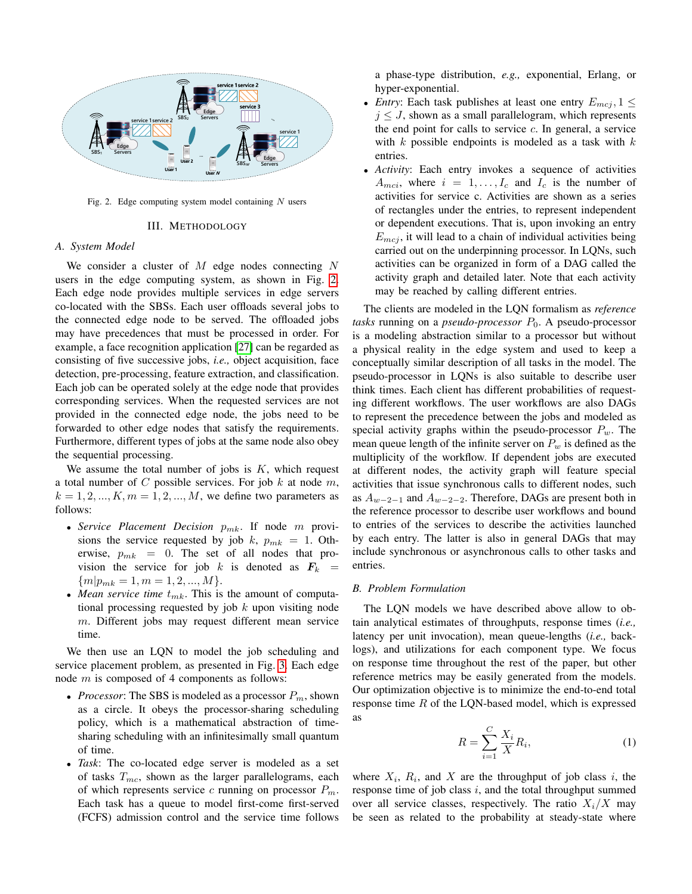

<span id="page-2-0"></span>Fig. 2. Edge computing system model containing  $N$  users

#### III. METHODOLOGY

#### *A. System Model*

We consider a cluster of  $M$  edge nodes connecting  $N$ users in the edge computing system, as shown in Fig. [2.](#page-2-0) Each edge node provides multiple services in edge servers co-located with the SBSs. Each user offloads several jobs to the connected edge node to be served. The offloaded jobs may have precedences that must be processed in order. For example, a face recognition application [\[27\]](#page-9-25) can be regarded as consisting of five successive jobs, *i.e.,* object acquisition, face detection, pre-processing, feature extraction, and classification. Each job can be operated solely at the edge node that provides corresponding services. When the requested services are not provided in the connected edge node, the jobs need to be forwarded to other edge nodes that satisfy the requirements. Furthermore, different types of jobs at the same node also obey the sequential processing.

We assume the total number of jobs is  $K$ , which request a total number of  $C$  possible services. For job  $k$  at node  $m$ ,  $k = 1, 2, ..., K, m = 1, 2, ..., M$ , we define two parameters as follows:

- Service Placement Decision  $p_{mk}$ . If node m provisions the service requested by job k,  $p_{mk} = 1$ . Otherwise,  $p_{mk} = 0$ . The set of all nodes that provision the service for job k is denoted as  $F_k$  =  ${m|p_{mk} = 1, m = 1, 2, ..., M}.$
- *Mean service time*  $t_{mk}$ . This is the amount of computational processing requested by job  $k$  upon visiting node m. Different jobs may request different mean service time.

We then use an LQN to model the job scheduling and service placement problem, as presented in Fig. [3.](#page-3-0) Each edge node m is composed of 4 components as follows:

- *Processor*: The SBS is modeled as a processor  $P_m$ , shown as a circle. It obeys the processor-sharing scheduling policy, which is a mathematical abstraction of timesharing scheduling with an infinitesimally small quantum of time.
- *Task*: The co-located edge server is modeled as a set of tasks  $T_{mc}$ , shown as the larger parallelograms, each of which represents service c running on processor  $P_m$ . Each task has a queue to model first-come first-served (FCFS) admission control and the service time follows

a phase-type distribution, *e.g.,* exponential, Erlang, or hyper-exponential.

- *Entry*: Each task publishes at least one entry  $E_{mcj}$ ,  $1 \leq$  $j \leq J$ , shown as a small parallelogram, which represents the end point for calls to service  $c$ . In general, a service with  $k$  possible endpoints is modeled as a task with  $k$ entries.
- *Activity*: Each entry invokes a sequence of activities  $A_{mci}$ , where  $i = 1, \ldots, I_c$  and  $I_c$  is the number of activities for service c. Activities are shown as a series of rectangles under the entries, to represent independent or dependent executions. That is, upon invoking an entry  $E_{mci}$ , it will lead to a chain of individual activities being carried out on the underpinning processor. In LQNs, such activities can be organized in form of a DAG called the activity graph and detailed later. Note that each activity may be reached by calling different entries.

The clients are modeled in the LQN formalism as *reference tasks* running on a *pseudo-processor*  $P_0$ . A pseudo-processor is a modeling abstraction similar to a processor but without a physical reality in the edge system and used to keep a conceptually similar description of all tasks in the model. The pseudo-processor in LQNs is also suitable to describe user think times. Each client has different probabilities of requesting different workflows. The user workflows are also DAGs to represent the precedence between the jobs and modeled as special activity graphs within the pseudo-processor  $P_w$ . The mean queue length of the infinite server on  $P_w$  is defined as the multiplicity of the workflow. If dependent jobs are executed at different nodes, the activity graph will feature special activities that issue synchronous calls to different nodes, such as  $A_{w-2-1}$  and  $A_{w-2-2}$ . Therefore, DAGs are present both in the reference processor to describe user workflows and bound to entries of the services to describe the activities launched by each entry. The latter is also in general DAGs that may include synchronous or asynchronous calls to other tasks and entries.

# *B. Problem Formulation*

The LQN models we have described above allow to obtain analytical estimates of throughputs, response times (*i.e.,* latency per unit invocation), mean queue-lengths (*i.e.,* backlogs), and utilizations for each component type. We focus on response time throughout the rest of the paper, but other reference metrics may be easily generated from the models. Our optimization objective is to minimize the end-to-end total response time  $R$  of the LON-based model, which is expressed as

$$
R = \sum_{i=1}^{C} \frac{X_i}{X} R_i,
$$
\n(1)

where  $X_i$ ,  $R_i$ , and X are the throughput of job class i, the response time of job class  $i$ , and the total throughput summed over all service classes, respectively. The ratio  $X_i/X$  may be seen as related to the probability at steady-state where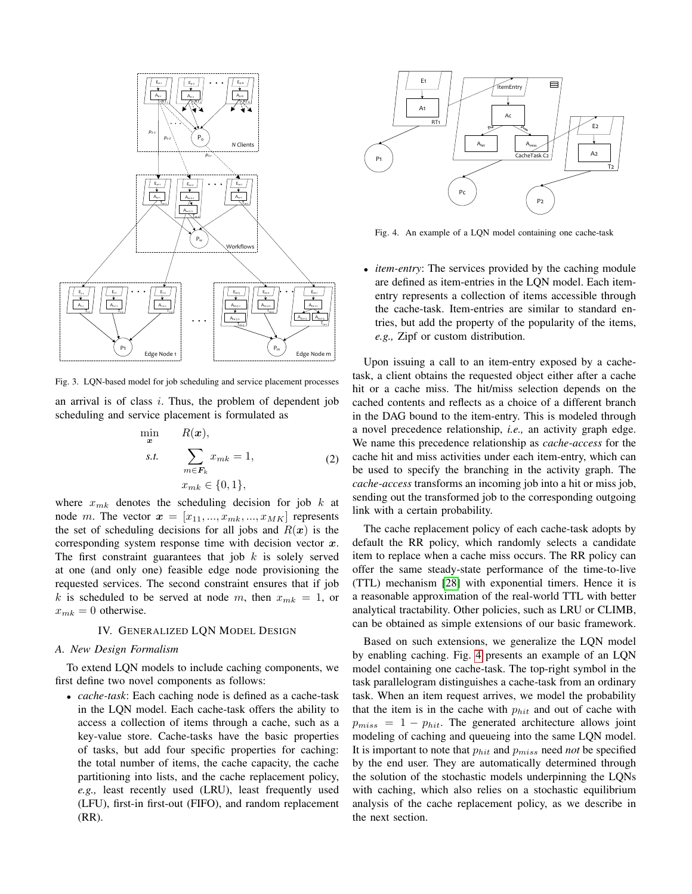

<span id="page-3-0"></span>Fig. 3. LQN-based model for job scheduling and service placement processes

an arrival is of class  $i$ . Thus, the problem of dependent job scheduling and service placement is formulated as

$$
\min_{\mathbf{x}} \quad R(\mathbf{x}),
$$
\n
$$
s.t. \quad \sum_{m \in \mathbf{F}_k} x_{mk} = 1,
$$
\n
$$
x_{mk} \in \{0, 1\},
$$
\n
$$
(2)
$$

where  $x_{mk}$  denotes the scheduling decision for job  $k$  at node m. The vector  $x = [x_{11},...,x_{mk},...,x_{MK}]$  represents the set of scheduling decisions for all jobs and  $R(x)$  is the corresponding system response time with decision vector  $x$ . The first constraint guarantees that job  $k$  is solely served at one (and only one) feasible edge node provisioning the requested services. The second constraint ensures that if job k is scheduled to be served at node m, then  $x_{mk} = 1$ , or  $x_{mk} = 0$  otherwise.

#### IV. GENERALIZED LQN MODEL DESIGN

# *A. New Design Formalism*

To extend LQN models to include caching components, we first define two novel components as follows:

• *cache-task*: Each caching node is defined as a cache-task in the LQN model. Each cache-task offers the ability to access a collection of items through a cache, such as a key-value store. Cache-tasks have the basic properties of tasks, but add four specific properties for caching: the total number of items, the cache capacity, the cache partitioning into lists, and the cache replacement policy, *e.g.,* least recently used (LRU), least frequently used (LFU), first-in first-out (FIFO), and random replacement (RR).



<span id="page-3-1"></span>Fig. 4. An example of a LQN model containing one cache-task

• *item-entry*: The services provided by the caching module are defined as item-entries in the LQN model. Each itementry represents a collection of items accessible through the cache-task. Item-entries are similar to standard entries, but add the property of the popularity of the items, *e.g.,* Zipf or custom distribution.

Upon issuing a call to an item-entry exposed by a cachetask, a client obtains the requested object either after a cache hit or a cache miss. The hit/miss selection depends on the cached contents and reflects as a choice of a different branch in the DAG bound to the item-entry. This is modeled through a novel precedence relationship, *i.e.,* an activity graph edge. We name this precedence relationship as *cache-access* for the cache hit and miss activities under each item-entry, which can be used to specify the branching in the activity graph. The *cache-access* transforms an incoming job into a hit or miss job, sending out the transformed job to the corresponding outgoing link with a certain probability.

The cache replacement policy of each cache-task adopts by default the RR policy, which randomly selects a candidate item to replace when a cache miss occurs. The RR policy can offer the same steady-state performance of the time-to-live (TTL) mechanism [\[28\]](#page-9-26) with exponential timers. Hence it is a reasonable approximation of the real-world TTL with better analytical tractability. Other policies, such as LRU or CLIMB, can be obtained as simple extensions of our basic framework.

Based on such extensions, we generalize the LQN model by enabling caching. Fig. [4](#page-3-1) presents an example of an LQN model containing one cache-task. The top-right symbol in the task parallelogram distinguishes a cache-task from an ordinary task. When an item request arrives, we model the probability that the item is in the cache with  $p_{hit}$  and out of cache with  $p_{miss} = 1 - p_{hit}$ . The generated architecture allows joint modeling of caching and queueing into the same LQN model. It is important to note that  $p_{hit}$  and  $p_{miss}$  need *not* be specified by the end user. They are automatically determined through the solution of the stochastic models underpinning the LQNs with caching, which also relies on a stochastic equilibrium analysis of the cache replacement policy, as we describe in the next section.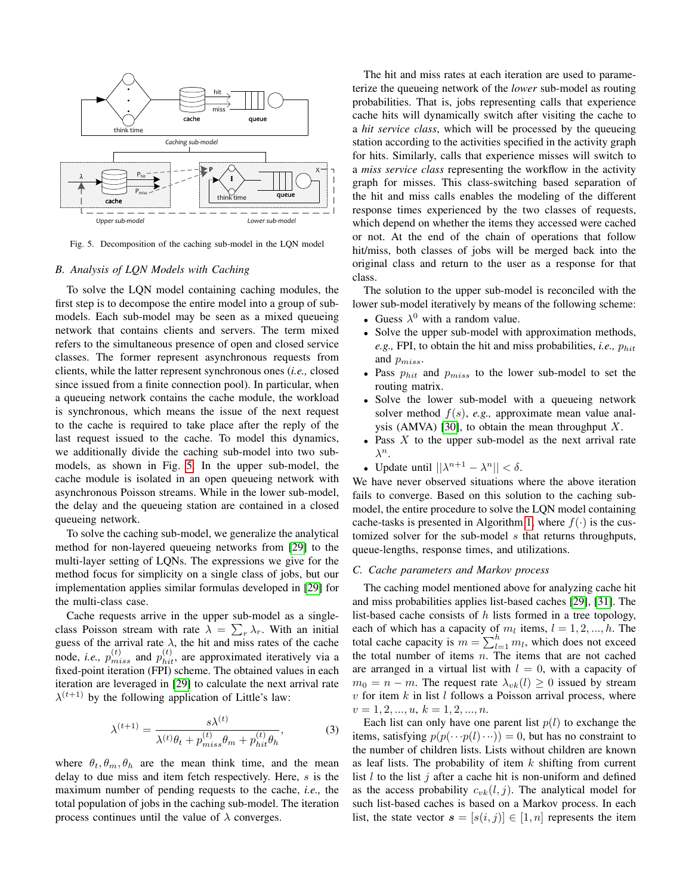

<span id="page-4-0"></span>Fig. 5. Decomposition of the caching sub-model in the LQN model

#### *B. Analysis of LQN Models with Caching*

To solve the LQN model containing caching modules, the first step is to decompose the entire model into a group of submodels. Each sub-model may be seen as a mixed queueing network that contains clients and servers. The term mixed refers to the simultaneous presence of open and closed service classes. The former represent asynchronous requests from clients, while the latter represent synchronous ones (*i.e.,* closed since issued from a finite connection pool). In particular, when a queueing network contains the cache module, the workload is synchronous, which means the issue of the next request to the cache is required to take place after the reply of the last request issued to the cache. To model this dynamics, we additionally divide the caching sub-model into two submodels, as shown in Fig. [5.](#page-4-0) In the upper sub-model, the cache module is isolated in an open queueing network with asynchronous Poisson streams. While in the lower sub-model, the delay and the queueing station are contained in a closed queueing network.

To solve the caching sub-model, we generalize the analytical method for non-layered queueing networks from [\[29\]](#page-9-27) to the multi-layer setting of LQNs. The expressions we give for the method focus for simplicity on a single class of jobs, but our implementation applies similar formulas developed in [\[29\]](#page-9-27) for the multi-class case.

Cache requests arrive in the upper sub-model as a singleclass Poisson stream with rate  $\lambda = \sum_{r} \lambda_r$ . With an initial guess of the arrival rate  $\lambda$ , the hit and miss rates of the cache node, *i.e.*,  $p_{miss}^{(t)}$  and  $p_{hit}^{(t)}$ , are approximated iteratively via a fixed-point iteration (FPI) scheme. The obtained values in each iteration are leveraged in [\[29\]](#page-9-27) to calculate the next arrival rate  $\lambda^{(t+1)}$  by the following application of Little's law:

<span id="page-4-1"></span>
$$
\lambda^{(t+1)} = \frac{s\lambda^{(t)}}{\lambda^{(t)}\theta_t + p_{miss}^{(t)}\theta_m + p_{hit}^{(t)}\theta_h},\tag{3}
$$

where  $\theta_t, \theta_m, \theta_h$  are the mean think time, and the mean delay to due miss and item fetch respectively. Here, s is the maximum number of pending requests to the cache, *i.e.,* the total population of jobs in the caching sub-model. The iteration process continues until the value of  $\lambda$  converges.

The hit and miss rates at each iteration are used to parameterize the queueing network of the *lower* sub-model as routing probabilities. That is, jobs representing calls that experience cache hits will dynamically switch after visiting the cache to a *hit service class*, which will be processed by the queueing station according to the activities specified in the activity graph for hits. Similarly, calls that experience misses will switch to a *miss service class* representing the workflow in the activity graph for misses. This class-switching based separation of the hit and miss calls enables the modeling of the different response times experienced by the two classes of requests, which depend on whether the items they accessed were cached or not. At the end of the chain of operations that follow hit/miss, both classes of jobs will be merged back into the original class and return to the user as a response for that class.

The solution to the upper sub-model is reconciled with the lower sub-model iteratively by means of the following scheme:

- Guess  $\lambda^0$  with a random value.
- Solve the upper sub-model with approximation methods,  $e.g., FPI, to obtain the hit and miss probabilities, *i.e.,*  $p_{hit}$$ and  $p_{miss}$ .
- Pass  $p_{hit}$  and  $p_{miss}$  to the lower sub-model to set the routing matrix.
- Solve the lower sub-model with a queueing network solver method f(s), *e.g.,* approximate mean value anal-ysis (AMVA) [\[30\]](#page-9-28), to obtain the mean throughput  $X$ .
- Pass  $X$  to the upper sub-model as the next arrival rate  $\lambda^n$ .
- Update until  $||\lambda^{n+1} \lambda^n|| < \delta$ .

We have never observed situations where the above iteration fails to converge. Based on this solution to the caching submodel, the entire procedure to solve the LQN model containing cache-tasks is presented in Algorithm [1,](#page-5-0) where  $f(\cdot)$  is the customized solver for the sub-model s that returns throughputs, queue-lengths, response times, and utilizations.

# *C. Cache parameters and Markov process*

The caching model mentioned above for analyzing cache hit and miss probabilities applies list-based caches [\[29\]](#page-9-27), [\[31\]](#page-9-29). The list-based cache consists of  $h$  lists formed in a tree topology, each of which has a capacity of  $m_l$  items,  $l = 1, 2, ..., h$ . The total cache capacity is  $m = \sum_{l=1}^{h} m_l$ , which does not exceed the total number of items  $n$ . The items that are not cached are arranged in a virtual list with  $l = 0$ , with a capacity of  $m_0 = n - m$ . The request rate  $\lambda_{vk}(l) \geq 0$  issued by stream  $v$  for item  $k$  in list  $l$  follows a Poisson arrival process, where  $v = 1, 2, ..., u, k = 1, 2, ..., n.$ 

Each list can only have one parent list  $p(l)$  to exchange the items, satisfying  $p(p(\cdots p(l)\cdots)) = 0$ , but has no constraint to the number of children lists. Lists without children are known as leaf lists. The probability of item  $k$  shifting from current list l to the list j after a cache hit is non-uniform and defined as the access probability  $c_{vk}(l, j)$ . The analytical model for such list-based caches is based on a Markov process. In each list, the state vector  $s = [s(i, j)] \in [1, n]$  represents the item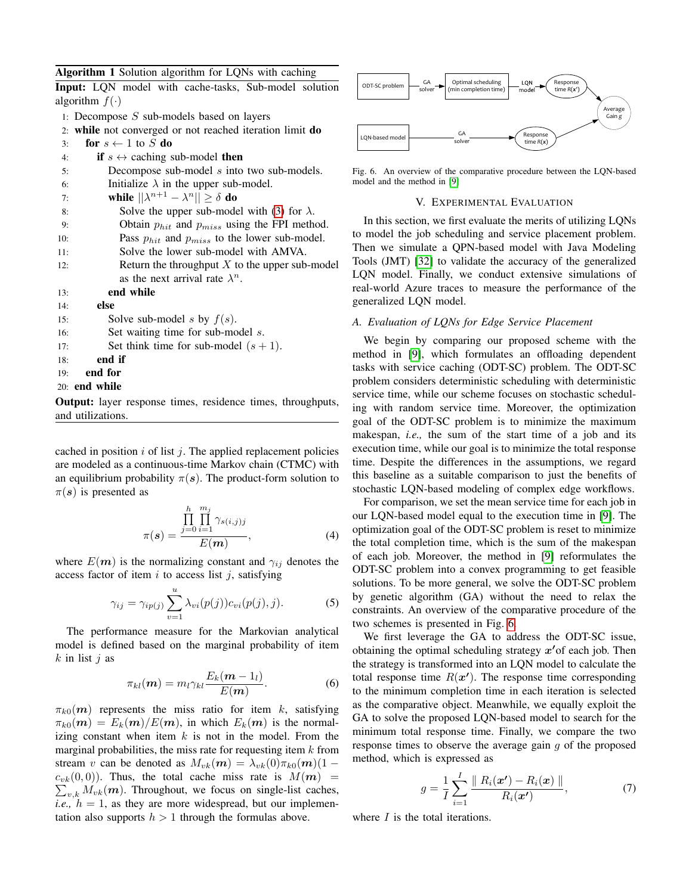<span id="page-5-0"></span>

|  |  |  |  |  | <b>Algorithm 1</b> Solution algorithm for LQNs with caching |
|--|--|--|--|--|-------------------------------------------------------------|
|--|--|--|--|--|-------------------------------------------------------------|

|                      |  | <b>Input:</b> LQN model with cache-tasks, Sub-model solution |  |
|----------------------|--|--------------------------------------------------------------|--|
| algorithm $f(\cdot)$ |  |                                                              |  |

- 1: Decompose  $S$  sub-models based on layers
- 2: while not converged or not reached iteration limit do

| 3:  | for $s \leftarrow 1$ to S do                          |
|-----|-------------------------------------------------------|
| 4:  | if $s \leftrightarrow$ caching sub-model then         |
| 5:  | Decompose sub-model $s$ into two sub-models.          |
| 6:  | Initialize $\lambda$ in the upper sub-model.          |
| 7:  | while $  \lambda^{n+1} - \lambda^{n}   \ge \delta$ do |
| 8:  | Solve the upper sub-model with (3) for $\lambda$ .    |
| 9:  | Obtain $p_{hit}$ and $p_{miss}$ using the FPI method. |
| 10: | Pass $p_{hit}$ and $p_{miss}$ to the lower sub-model. |
| 11: | Solve the lower sub-model with AMVA.                  |
| 12: | Return the throughput $X$ to the upper sub-model      |
|     | as the next arrival rate $\lambda^n$ .                |
| 13: | end while                                             |
| 14: | else                                                  |
| 15: | Solve sub-model s by $f(s)$ .                         |
| 16: | Set waiting time for sub-model s.                     |
| 17: | Set think time for sub-model $(s + 1)$ .              |
| 18: | end if                                                |
| 19: | end for                                               |

20: end while

Output: layer response times, residence times, throughputs, and utilizations.

cached in position  $i$  of list  $j$ . The applied replacement policies are modeled as a continuous-time Markov chain (CTMC) with an equilibrium probability  $\pi(s)$ . The product-form solution to  $\pi(s)$  is presented as

$$
\pi(s) = \frac{\prod_{j=0}^{h} \prod_{i=1}^{m_j} \gamma_{s(i,j)j}}{E(m)},
$$
\n(4)

where  $E(\mathbf{m})$  is the normalizing constant and  $\gamma_{ij}$  denotes the access factor of item  $i$  to access list  $j$ , satisfying

$$
\gamma_{ij} = \gamma_{ip(j)} \sum_{v=1}^{u} \lambda_{vi}(p(j)) c_{vi}(p(j), j). \tag{5}
$$

The performance measure for the Markovian analytical model is defined based on the marginal probability of item  $k$  in list  $j$  as

$$
\pi_{kl}(\boldsymbol{m}) = m_l \gamma_{kl} \frac{E_k(\boldsymbol{m} - 1_l)}{E(\boldsymbol{m})}.
$$
 (6)

 $\pi_{k0}(m)$  represents the miss ratio for item k, satisfying  $\pi_{k0}(m) = E_k(m)/E(m)$ , in which  $E_k(m)$  is the normalizing constant when item  $k$  is not in the model. From the marginal probabilities, the miss rate for requesting item  $k$  from stream v can be denoted as  $M_{vk}(\boldsymbol{m}) = \lambda_{vk}(0)\pi_{k0}(\boldsymbol{m})$ (1 –  $c_{vk}(0,0)$ ). Thus, the total cache miss rate is  $M(m)$  =  $\sum_{v,k} M_{vk}(\boldsymbol{m})$ . Throughout, we focus on single-list caches, *i.e.*,  $h = 1$ , as they are more widespread, but our implementation also supports  $h > 1$  through the formulas above.



<span id="page-5-1"></span>Fig. 6. An overview of the comparative procedure between the LQN-based model and the method in [\[9\]](#page-9-8)

#### V. EXPERIMENTAL EVALUATION

In this section, we first evaluate the merits of utilizing LQNs to model the job scheduling and service placement problem. Then we simulate a QPN-based model with Java Modeling Tools (JMT) [\[32\]](#page-9-30) to validate the accuracy of the generalized LQN model. Finally, we conduct extensive simulations of real-world Azure traces to measure the performance of the generalized LQN model.

# *A. Evaluation of LQNs for Edge Service Placement*

We begin by comparing our proposed scheme with the method in [\[9\]](#page-9-8), which formulates an offloading dependent tasks with service caching (ODT-SC) problem. The ODT-SC problem considers deterministic scheduling with deterministic service time, while our scheme focuses on stochastic scheduling with random service time. Moreover, the optimization goal of the ODT-SC problem is to minimize the maximum makespan, *i.e.,* the sum of the start time of a job and its execution time, while our goal is to minimize the total response time. Despite the differences in the assumptions, we regard this baseline as a suitable comparison to just the benefits of stochastic LQN-based modeling of complex edge workflows.

For comparison, we set the mean service time for each job in our LQN-based model equal to the execution time in [\[9\]](#page-9-8). The optimization goal of the ODT-SC problem is reset to minimize the total completion time, which is the sum of the makespan of each job. Moreover, the method in [\[9\]](#page-9-8) reformulates the ODT-SC problem into a convex programming to get feasible solutions. To be more general, we solve the ODT-SC problem by genetic algorithm (GA) without the need to relax the constraints. An overview of the comparative procedure of the two schemes is presented in Fig. [6.](#page-5-1)

We first leverage the GA to address the ODT-SC issue, obtaining the optimal scheduling strategy  $x'$  of each job. Then the strategy is transformed into an LQN model to calculate the total response time  $R(x')$ . The response time corresponding to the minimum completion time in each iteration is selected as the comparative object. Meanwhile, we equally exploit the GA to solve the proposed LQN-based model to search for the minimum total response time. Finally, we compare the two response times to observe the average gain  $q$  of the proposed method, which is expressed as

$$
g = \frac{1}{I} \sum_{i=1}^{I} \frac{\| R_i(x') - R_i(x) \|}{R_i(x')} , \qquad (7)
$$

where  $I$  is the total iterations.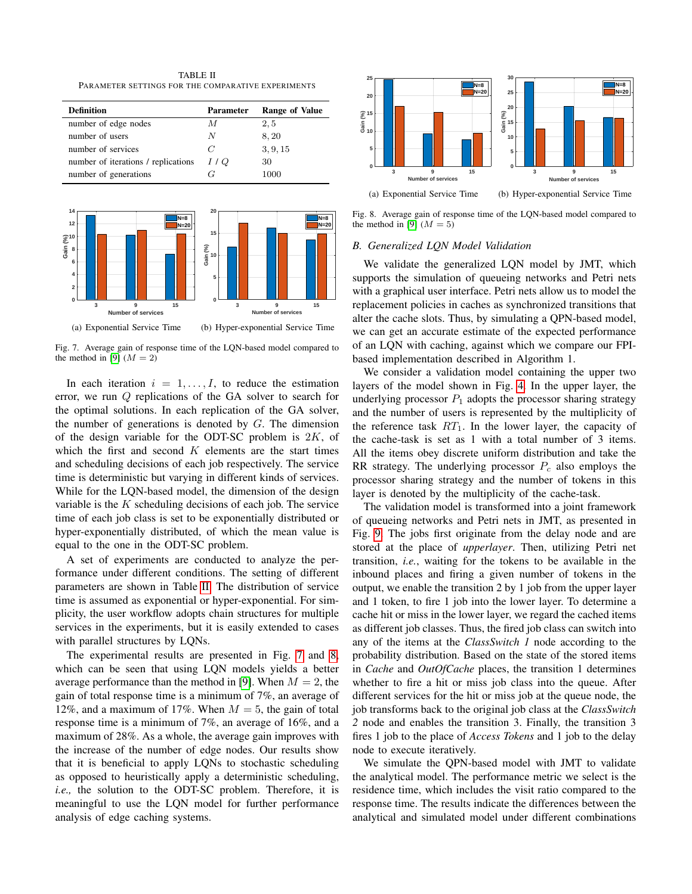TABLE II PARAMETER SETTINGS FOR THE COMPARATIVE EXPERIMENTS

<span id="page-6-0"></span>

| <b>Definition</b>                   | <b>Parameter</b> | Range of Value |
|-------------------------------------|------------------|----------------|
| number of edge nodes                | М                | 2, 5           |
| number of users                     | N                | 8, 20          |
| number of services                  | C                | 3, 9, 15       |
| number of iterations / replications | 1 / Q            | 30             |
| number of generations               | 7 C              | 1000           |



<span id="page-6-1"></span>Fig. 7. Average gain of response time of the LQN-based model compared to the method in [\[9\]](#page-9-8)  $(M = 2)$ 

In each iteration  $i = 1, \ldots, I$ , to reduce the estimation error, we run Q replications of the GA solver to search for the optimal solutions. In each replication of the GA solver, the number of generations is denoted by  $G$ . The dimension of the design variable for the ODT-SC problem is  $2K$ , of which the first and second  $K$  elements are the start times and scheduling decisions of each job respectively. The service time is deterministic but varying in different kinds of services. While for the LQN-based model, the dimension of the design variable is the  $K$  scheduling decisions of each job. The service time of each job class is set to be exponentially distributed or hyper-exponentially distributed, of which the mean value is equal to the one in the ODT-SC problem.

A set of experiments are conducted to analyze the performance under different conditions. The setting of different parameters are shown in Table [II.](#page-6-0) The distribution of service time is assumed as exponential or hyper-exponential. For simplicity, the user workflow adopts chain structures for multiple services in the experiments, but it is easily extended to cases with parallel structures by LQNs.

The experimental results are presented in Fig. [7](#page-6-1) and [8,](#page-6-2) which can be seen that using LQN models yields a better average performance than the method in [\[9\]](#page-9-8). When  $M = 2$ , the gain of total response time is a minimum of 7%, an average of 12%, and a maximum of 17%. When  $M = 5$ , the gain of total response time is a minimum of 7%, an average of 16%, and a maximum of 28%. As a whole, the average gain improves with the increase of the number of edge nodes. Our results show that it is beneficial to apply LQNs to stochastic scheduling as opposed to heuristically apply a deterministic scheduling, *i.e.,* the solution to the ODT-SC problem. Therefore, it is meaningful to use the LQN model for further performance analysis of edge caching systems.



<span id="page-6-2"></span>Fig. 8. Average gain of response time of the LQN-based model compared to the method in [\[9\]](#page-9-8)  $(M = 5)$ 

# *B. Generalized LQN Model Validation*

We validate the generalized LQN model by JMT, which supports the simulation of queueing networks and Petri nets with a graphical user interface. Petri nets allow us to model the replacement policies in caches as synchronized transitions that alter the cache slots. Thus, by simulating a QPN-based model, we can get an accurate estimate of the expected performance of an LQN with caching, against which we compare our FPIbased implementation described in Algorithm 1.

We consider a validation model containing the upper two layers of the model shown in Fig. [4.](#page-3-1) In the upper layer, the underlying processor  $P_1$  adopts the processor sharing strategy and the number of users is represented by the multiplicity of the reference task  $RT_1$ . In the lower layer, the capacity of the cache-task is set as 1 with a total number of 3 items. All the items obey discrete uniform distribution and take the RR strategy. The underlying processor  $P_c$  also employs the processor sharing strategy and the number of tokens in this layer is denoted by the multiplicity of the cache-task.

The validation model is transformed into a joint framework of queueing networks and Petri nets in JMT, as presented in Fig. [9.](#page-7-0) The jobs first originate from the delay node and are stored at the place of *upperlayer*. Then, utilizing Petri net transition, *i.e.*, waiting for the tokens to be available in the inbound places and firing a given number of tokens in the output, we enable the transition 2 by 1 job from the upper layer and 1 token, to fire 1 job into the lower layer. To determine a cache hit or miss in the lower layer, we regard the cached items as different job classes. Thus, the fired job class can switch into any of the items at the *ClassSwitch 1* node according to the probability distribution. Based on the state of the stored items in *Cache* and *OutOfCache* places, the transition 1 determines whether to fire a hit or miss job class into the queue. After different services for the hit or miss job at the queue node, the job transforms back to the original job class at the *ClassSwitch 2* node and enables the transition 3. Finally, the transition 3 fires 1 job to the place of *Access Tokens* and 1 job to the delay node to execute iteratively.

We simulate the QPN-based model with JMT to validate the analytical model. The performance metric we select is the residence time, which includes the visit ratio compared to the response time. The results indicate the differences between the analytical and simulated model under different combinations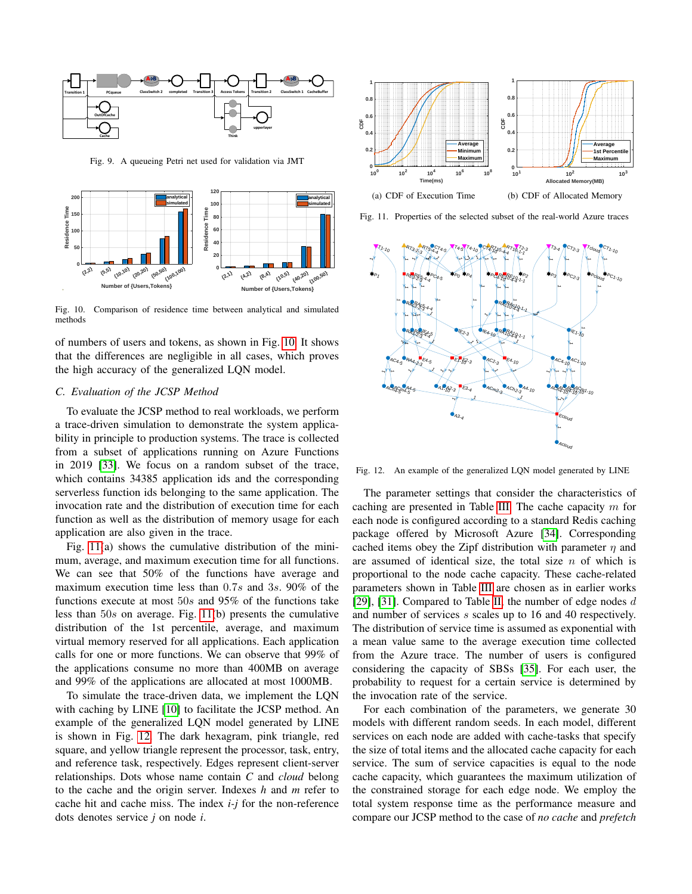

<span id="page-7-0"></span>Fig. 9. A queueing Petri net used for validation via JMT



<span id="page-7-1"></span>Fig. 10. Comparison of residence time between analytical and simulated methods

of numbers of users and tokens, as shown in Fig. [10.](#page-7-1) It shows that the differences are negligible in all cases, which proves the high accuracy of the generalized LQN model.

# *C. Evaluation of the JCSP Method*

To evaluate the JCSP method to real workloads, we perform a trace-driven simulation to demonstrate the system applicability in principle to production systems. The trace is collected from a subset of applications running on Azure Functions in 2019 [\[33\]](#page-9-31). We focus on a random subset of the trace, which contains 34385 application ids and the corresponding serverless function ids belonging to the same application. The invocation rate and the distribution of execution time for each function as well as the distribution of memory usage for each application are also given in the trace.

Fig. [11\(](#page-7-2)a) shows the cumulative distribution of the minimum, average, and maximum execution time for all functions. We can see that 50% of the functions have average and maximum execution time less than 0.7s and 3s. 90% of the functions execute at most  $50s$  and  $95\%$  of the functions take less than 50s on average. Fig. [11\(](#page-7-2)b) presents the cumulative distribution of the 1st percentile, average, and maximum virtual memory reserved for all applications. Each application calls for one or more functions. We can observe that 99% of the applications consume no more than 400MB on average and 99% of the applications are allocated at most 1000MB.

To simulate the trace-driven data, we implement the LQN with caching by LINE [\[10\]](#page-9-19) to facilitate the JCSP method. An example of the generalized LQN model generated by LINE is shown in Fig. [12.](#page-7-3) The dark hexagram, pink triangle, red square, and yellow triangle represent the processor, task, entry, and reference task, respectively. Edges represent client-server relationships. Dots whose name contain *C* and *cloud* belong to the cache and the origin server. Indexes *h* and *m* refer to cache hit and cache miss. The index *i-j* for the non-reference dots denotes service *j* on node *i*.



<span id="page-7-2"></span>Fig. 11. Properties of the selected subset of the real-world Azure traces



<span id="page-7-3"></span>Fig. 12. An example of the generalized LQN model generated by LINE

The parameter settings that consider the characteristics of caching are presented in Table [III.](#page-8-0) The cache capacity  $m$  for each node is configured according to a standard Redis caching package offered by Microsoft Azure [\[34\]](#page-9-32). Corresponding cached items obey the Zipf distribution with parameter  $\eta$  and are assumed of identical size, the total size  $n$  of which is proportional to the node cache capacity. These cache-related parameters shown in Table [III](#page-8-0) are chosen as in earlier works [\[29\]](#page-9-27), [\[31\]](#page-9-29). Compared to Table [II,](#page-6-0) the number of edge nodes  $d$ and number of services s scales up to 16 and 40 respectively. The distribution of service time is assumed as exponential with a mean value same to the average execution time collected from the Azure trace. The number of users is configured considering the capacity of SBSs [\[35\]](#page-9-33). For each user, the probability to request for a certain service is determined by the invocation rate of the service.

For each combination of the parameters, we generate 30 models with different random seeds. In each model, different services on each node are added with cache-tasks that specify the size of total items and the allocated cache capacity for each service. The sum of service capacities is equal to the node cache capacity, which guarantees the maximum utilization of the constrained storage for each edge node. We employ the total system response time as the performance measure and compare our JCSP method to the case of *no cache* and *prefetch*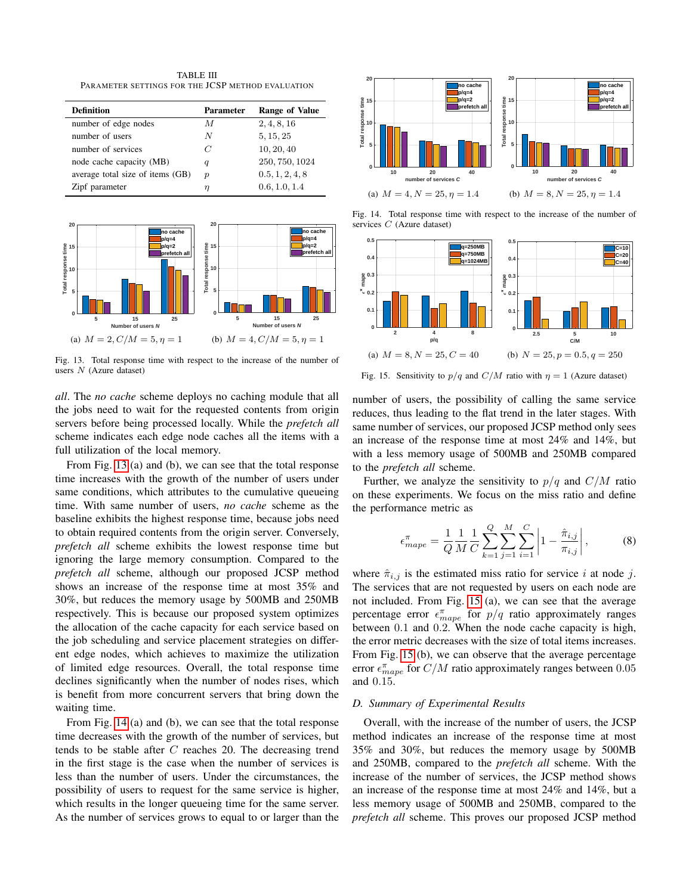TABLE III PARAMETER SETTINGS FOR THE JCSP METHOD EVALUATION

<span id="page-8-0"></span>

| <b>Definition</b>                | <b>Parameter</b> | <b>Range of Value</b> |
|----------------------------------|------------------|-----------------------|
| number of edge nodes             | М                | 2, 4, 8, 16           |
| number of users                  | N                | 5, 15, 25             |
| number of services               | C                | 10, 20, 40            |
| node cache capacity (MB)         | q                | 250, 750, 1024        |
| average total size of items (GB) | $\boldsymbol{p}$ | 0.5, 1, 2, 4, 8       |
| Zipf parameter                   |                  | 0.6, 1.0, 1.4         |



<span id="page-8-1"></span>Fig. 13. Total response time with respect to the increase of the number of users  $N$  (Azure dataset)

*all*. The *no cache* scheme deploys no caching module that all the jobs need to wait for the requested contents from origin servers before being processed locally. While the *prefetch all* scheme indicates each edge node caches all the items with a full utilization of the local memory.

From Fig. [13](#page-8-1) (a) and (b), we can see that the total response time increases with the growth of the number of users under same conditions, which attributes to the cumulative queueing time. With same number of users, *no cache* scheme as the baseline exhibits the highest response time, because jobs need to obtain required contents from the origin server. Conversely, *prefetch all* scheme exhibits the lowest response time but ignoring the large memory consumption. Compared to the *prefetch all* scheme, although our proposed JCSP method shows an increase of the response time at most 35% and 30%, but reduces the memory usage by 500MB and 250MB respectively. This is because our proposed system optimizes the allocation of the cache capacity for each service based on the job scheduling and service placement strategies on different edge nodes, which achieves to maximize the utilization of limited edge resources. Overall, the total response time declines significantly when the number of nodes rises, which is benefit from more concurrent servers that bring down the waiting time.

From Fig. [14](#page-8-2) (a) and (b), we can see that the total response time decreases with the growth of the number of services, but tends to be stable after  $C$  reaches 20. The decreasing trend in the first stage is the case when the number of services is less than the number of users. Under the circumstances, the possibility of users to request for the same service is higher, which results in the longer queueing time for the same server. As the number of services grows to equal to or larger than the



<span id="page-8-2"></span>Fig. 14. Total response time with respect to the increase of the number of services  $C$  (Azure dataset)



<span id="page-8-3"></span>Fig. 15. Sensitivity to  $p/q$  and  $C/M$  ratio with  $\eta = 1$  (Azure dataset)

number of users, the possibility of calling the same service reduces, thus leading to the flat trend in the later stages. With same number of services, our proposed JCSP method only sees an increase of the response time at most 24% and 14%, but with a less memory usage of 500MB and 250MB compared to the *prefetch all* scheme.

Further, we analyze the sensitivity to  $p/q$  and  $C/M$  ratio on these experiments. We focus on the miss ratio and define the performance metric as

$$
\epsilon_{mape}^{\pi} = \frac{1}{Q} \frac{1}{M} \frac{1}{C} \sum_{k=1}^{Q} \sum_{j=1}^{M} \sum_{i=1}^{C} \left| 1 - \frac{\hat{\pi}_{i,j}}{\pi_{i,j}} \right|,
$$
(8)

where  $\hat{\pi}_{i,j}$  is the estimated miss ratio for service i at node j. The services that are not requested by users on each node are not included. From Fig. [15](#page-8-3) (a), we can see that the average percentage error  $\epsilon_{mape}^{\pi}$  for  $p/q$  ratio approximately ranges between 0.1 and 0.2. When the node cache capacity is high, the error metric decreases with the size of total items increases. From Fig. [15](#page-8-3) (b), we can observe that the average percentage error  $\epsilon_{mape}^{\pi}$  for  $C/M$  ratio approximately ranges between 0.05 and 0.15.

## *D. Summary of Experimental Results*

Overall, with the increase of the number of users, the JCSP method indicates an increase of the response time at most 35% and 30%, but reduces the memory usage by 500MB and 250MB, compared to the *prefetch all* scheme. With the increase of the number of services, the JCSP method shows an increase of the response time at most 24% and 14%, but a less memory usage of 500MB and 250MB, compared to the *prefetch all* scheme. This proves our proposed JCSP method